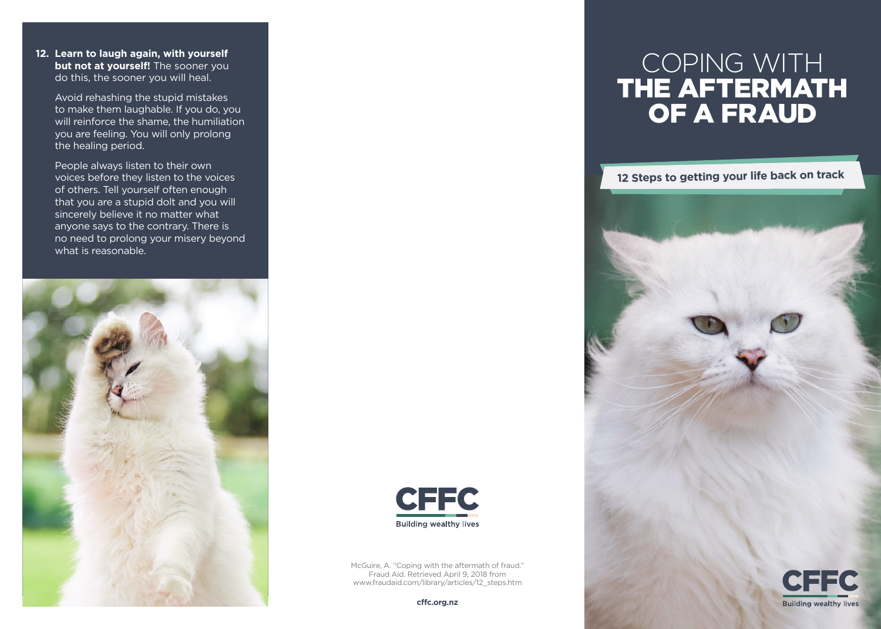12. Learn to laugh again, with yourself but not at yourself! The sooner you do this, the sooner you will heal.

Avoid rehashing the stupid mistakes to make them laughable. If you do, you will reinforce the shame, the humiliation you are feeling. You will only prolong the healing period.

People always listen to their own voices before they listen to the voices of others. Tell yourself often enough that you are a stupid dolt and you will sincerely believe it no matter what anyone says to the contrary. There is no need to prolong your misery beyond what is reasonable.



**COPING WITH** OF A FRAUD





www.fraudaid.com/library/articles/12 steps.htm cffc.org.nz

McGuire, A. "Coping with the aftermath of fraud." Fraud Aid. Retrieved April 9, 2018 from

**CFFC** 

**Building wealthy lives**